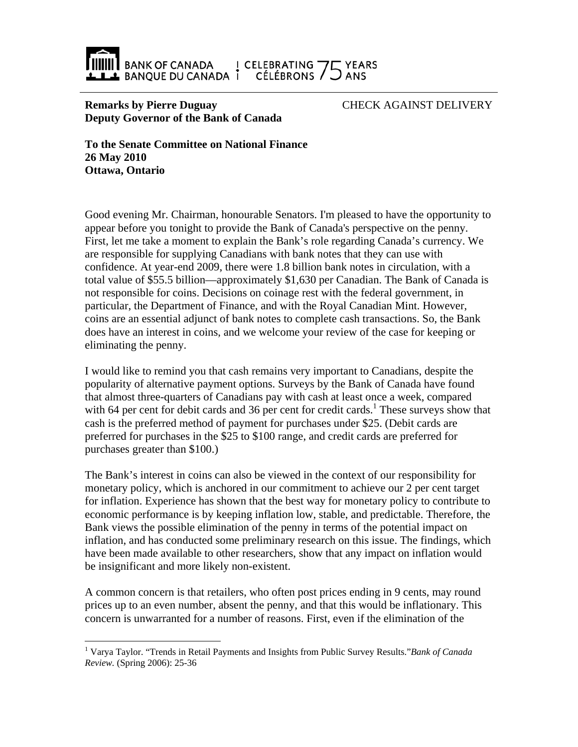

## **Remarks by Pierre Duguay Deputy Governor of the Bank of Canada**

CHECK AGAINST DELIVERY

**To the Senate Committee on National Finance 26 May 2010 Ottawa, Ontario** 

Good evening Mr. Chairman, honourable Senators. I'm pleased to have the opportunity to appear before you tonight to provide the Bank of Canada's perspective on the penny. First, let me take a moment to explain the Bank's role regarding Canada's currency. We are responsible for supplying Canadians with bank notes that they can use with confidence. At year-end 2009, there were 1.8 billion bank notes in circulation, with a total value of \$55.5 billion—approximately \$1,630 per Canadian. The Bank of Canada is not responsible for coins. Decisions on coinage rest with the federal government, in particular, the Department of Finance, and with the Royal Canadian Mint. However, coins are an essential adjunct of bank notes to complete cash transactions. So, the Bank does have an interest in coins, and we welcome your review of the case for keeping or eliminating the penny.

I would like to remind you that cash remains very important to Canadians, despite the popularity of alternative payment options. Surveys by the Bank of Canada have found that almost three-quarters of Canadians pay with cash at least once a week, compared with 64 per cent for debit cards and 36 per cent for credit cards.<sup>1</sup> These surveys show that cash is the preferred method of payment for purchases under \$25. (Debit cards are preferred for purchases in the \$25 to \$100 range, and credit cards are preferred for purchases greater than \$100.)

The Bank's interest in coins can also be viewed in the context of our responsibility for monetary policy, which is anchored in our commitment to achieve our 2 per cent target for inflation. Experience has shown that the best way for monetary policy to contribute to economic performance is by keeping inflation low, stable, and predictable. Therefore, the Bank views the possible elimination of the penny in terms of the potential impact on inflation, and has conducted some preliminary research on this issue. The findings, which have been made available to other researchers, show that any impact on inflation would be insignificant and more likely non-existent.

A common concern is that retailers, who often post prices ending in 9 cents, may round prices up to an even number, absent the penny, and that this would be inflationary. This concern is unwarranted for a number of reasons. First, even if the elimination of the

 $\overline{a}$ 

<sup>1</sup> Varya Taylor. "Trends in Retail Payments and Insights from Public Survey Results."*Bank of Canada Review.* (Spring 2006): 25-36